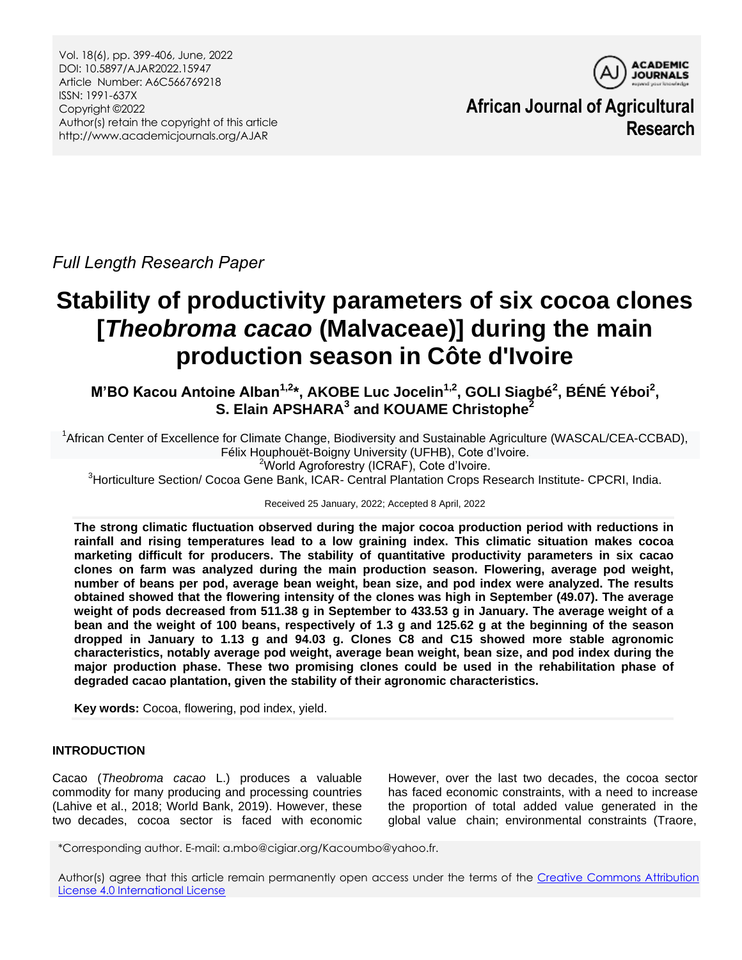Vol. 18(6), pp. 399-406, June, 2022 DOI: 10.5897/AJAR2022.15947 Article Number: A6C566769218 ISSN: 1991-637X Copyright ©2022 Author(s) retain the copyright of this article http://www.academicjournals.org/AJAR



**African Journal of Agricultural Research**

*Full Length Research Paper*

# **Stability of productivity parameters of six cocoa clones [***Theobroma cacao* **(Malvaceae)] during the main production season in Côte d'Ivoire**

**M'BO Kacou Antoine Alban1,2\*, AKOBE Luc Jocelin1,2, GOLI Siagbé<sup>2</sup> , BÉNÉ Yéboi<sup>2</sup> , S. Elain APSHARA<sup>3</sup> and KOUAME Christophe<sup>2</sup>**

<sup>1</sup>African Center of Excellence for Climate Change, Biodiversity and Sustainable Agriculture (WASCAL/CEA-CCBAD), Félix Houphouët-Boigny University (UFHB), Cote d'Ivoire. <sup>2</sup>World Agroforestry (ICRAF), Cote d'Ivoire.

<sup>3</sup>Horticulture Section/ Cocoa Gene Bank, ICAR- Central Plantation Crops Research Institute- CPCRI, India.

## Received 25 January, 2022; Accepted 8 April, 2022

**The strong climatic fluctuation observed during the major cocoa production period with reductions in rainfall and rising temperatures lead to a low graining index. This climatic situation makes cocoa marketing difficult for producers. The stability of quantitative productivity parameters in six cacao clones on farm was analyzed during the main production season. Flowering, average pod weight, number of beans per pod, average bean weight, bean size, and pod index were analyzed. The results obtained showed that the flowering intensity of the clones was high in September (49.07). The average weight of pods decreased from 511.38 g in September to 433.53 g in January. The average weight of a bean and the weight of 100 beans, respectively of 1.3 g and 125.62 g at the beginning of the season dropped in January to 1.13 g and 94.03 g. Clones C8 and C15 showed more stable agronomic characteristics, notably average pod weight, average bean weight, bean size, and pod index during the major production phase. These two promising clones could be used in the rehabilitation phase of degraded cacao plantation, given the stability of their agronomic characteristics.**

**Key words:** Cocoa, flowering, pod index, yield.

## **INTRODUCTION**

Cacao (*Theobroma cacao* L.) produces a valuable commodity for many producing and processing countries (Lahive et al., 2018; World Bank, 2019). However, these two decades, cocoa sector is faced with economic

However, over the last two decades, the cocoa sector has faced economic constraints, with a need to increase the proportion of total added value generated in the global value chain; environmental constraints (Traore,

\*Corresponding author. E-mail: a.mbo@cigiar.org/Kacoumbo@yahoo.fr.

Author(s) agree that this article remain permanently open access under the terms of the Creative Commons Attribution [License 4.0 International License](http://creativecommons.org/licenses/by/4.0/deed.en_US)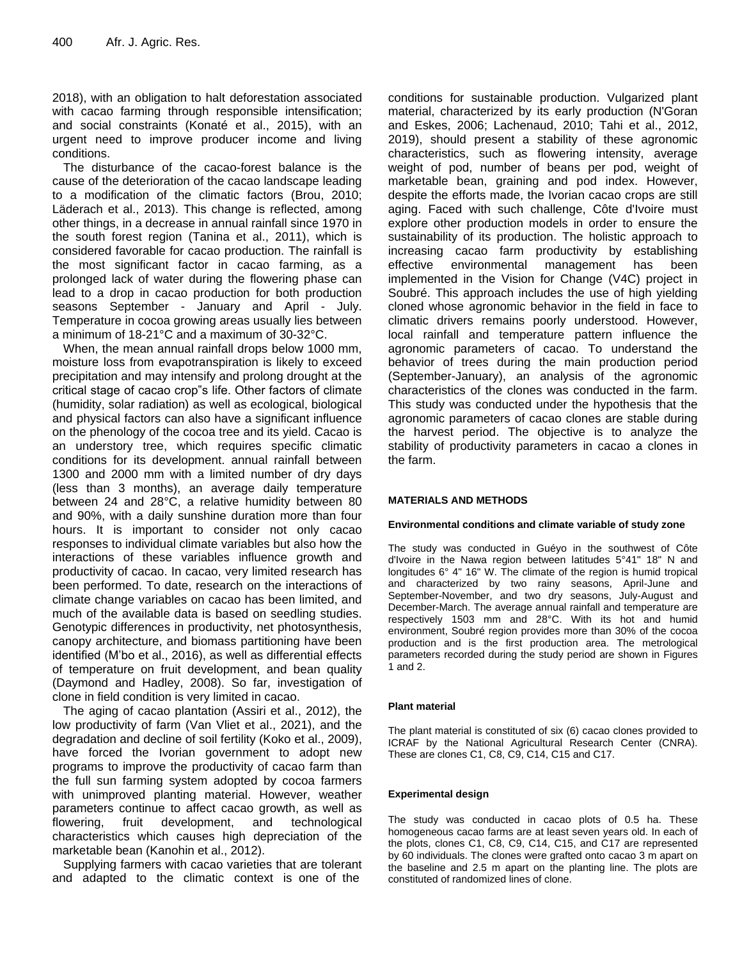2018), with an obligation to halt deforestation associated with cacao farming through responsible intensification; and social constraints (Konaté et al., 2015), with an urgent need to improve producer income and living conditions.

The disturbance of the cacao-forest balance is the cause of the deterioration of the cacao landscape leading to a modification of the climatic factors (Brou, 2010; Läderach et al., 2013). This change is reflected, among other things, in a decrease in annual rainfall since 1970 in the south forest region (Tanina et al., 2011), which is considered favorable for cacao production. The rainfall is the most significant factor in cacao farming, as a prolonged lack of water during the flowering phase can lead to a drop in cacao production for both production seasons September - January and April - July. Temperature in cocoa growing areas usually lies between a minimum of 18-21°C and a maximum of 30-32°C.

When, the mean annual rainfall drops below 1000 mm, moisture loss from evapotranspiration is likely to exceed precipitation and may intensify and prolong drought at the critical stage of cacao crop"s life. Other factors of climate (humidity, solar radiation) as well as ecological, biological and physical factors can also have a significant influence on the phenology of the cocoa tree and its yield. Cacao is an understory tree, which requires specific climatic conditions for its development. annual rainfall between 1300 and 2000 mm with a limited number of dry days (less than 3 months), an average daily temperature between 24 and 28°C, a relative humidity between 80 and 90%, with a daily sunshine duration more than four hours. It is important to consider not only cacao responses to individual climate variables but also how the interactions of these variables influence growth and productivity of cacao. In cacao, very limited research has been performed. To date, research on the interactions of climate change variables on cacao has been limited, and much of the available data is based on seedling studies. Genotypic differences in productivity, net photosynthesis, canopy architecture, and biomass partitioning have been identified (M'bo et al., 2016), as well as differential effects of temperature on fruit development, and bean quality (Daymond and Hadley, 2008). So far, investigation of clone in field condition is very limited in cacao.

The aging of cacao plantation (Assiri et al., 2012), the low productivity of farm (Van Vliet et al., 2021), and the degradation and decline of soil fertility (Koko et al., 2009), have forced the Ivorian government to adopt new programs to improve the productivity of cacao farm than the full sun farming system adopted by cocoa farmers with unimproved planting material. However, weather parameters continue to affect cacao growth, as well as flowering, fruit development, and technological characteristics which causes high depreciation of the marketable bean (Kanohin et al., 2012).

Supplying farmers with cacao varieties that are tolerant and adapted to the climatic context is one of the

conditions for sustainable production. Vulgarized plant material, characterized by its early production (N'Goran and Eskes, 2006; Lachenaud, 2010; Tahi et al., 2012, 2019), should present a stability of these agronomic characteristics, such as flowering intensity, average weight of pod, number of beans per pod, weight of marketable bean, graining and pod index. However, despite the efforts made, the Ivorian cacao crops are still aging. Faced with such challenge, Côte d'Ivoire must explore other production models in order to ensure the sustainability of its production. The holistic approach to increasing cacao farm productivity by establishing effective environmental management has been implemented in the Vision for Change (V4C) project in Soubré. This approach includes the use of high yielding cloned whose agronomic behavior in the field in face to climatic drivers remains poorly understood. However, local rainfall and temperature pattern influence the agronomic parameters of cacao. To understand the behavior of trees during the main production period (September-January), an analysis of the agronomic characteristics of the clones was conducted in the farm. This study was conducted under the hypothesis that the agronomic parameters of cacao clones are stable during the harvest period. The objective is to analyze the stability of productivity parameters in cacao a clones in the farm.

## **MATERIALS AND METHODS**

#### **Environmental conditions and climate variable of study zone**

The study was conducted in Guéyo in the southwest of Côte d'Ivoire in the Nawa region between latitudes 5°41" 18" N and longitudes 6° 4" 16" W. The climate of the region is humid tropical and characterized by two rainy seasons, April-June and September-November, and two dry seasons, July-August and December-March. The average annual rainfall and temperature are respectively 1503 mm and 28°C. With its hot and humid environment, Soubré region provides more than 30% of the cocoa production and is the first production area. The metrological parameters recorded during the study period are shown in Figures 1 and 2.

#### **Plant material**

The plant material is constituted of six (6) cacao clones provided to ICRAF by the National Agricultural Research Center (CNRA). These are clones C1, C8, C9, C14, C15 and C17.

#### **Experimental design**

The study was conducted in cacao plots of 0.5 ha. These homogeneous cacao farms are at least seven years old. In each of the plots, clones C1, C8, C9, C14, C15, and C17 are represented by 60 individuals. The clones were grafted onto cacao 3 m apart on the baseline and 2.5 m apart on the planting line. The plots are constituted of randomized lines of clone.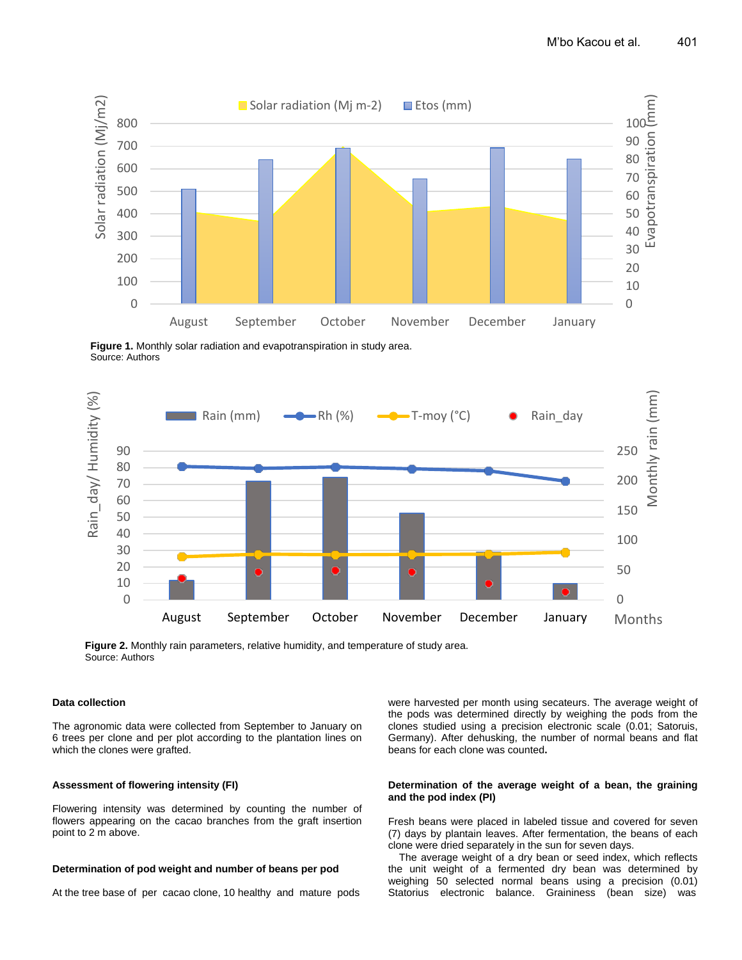

**Figure 1.** Monthly solar radiation and evapotranspiration in study area. Source: Authors



**Figure 2.** Monthly rain parameters, relative humidity, and temperature of study area. Source: Authors

#### **Data collection**

The agronomic data were collected from September to January on 6 trees per clone and per plot according to the plantation lines on which the clones were grafted.

#### **Assessment of flowering intensity (FI)**

Flowering intensity was determined by counting the number of flowers appearing on the cacao branches from the graft insertion point to 2 m above.

#### **Determination of pod weight and number of beans per pod**

At the tree base of per cacao clone, 10 healthy and mature pods

were harvested per month using secateurs. The average weight of the pods was determined directly by weighing the pods from the clones studied using a precision electronic scale (0.01; Satoruis, Germany). After dehusking, the number of normal beans and flat beans for each clone was counted**.**

#### **Determination of the average weight of a bean, the graining and the pod index (PI)**

Fresh beans were placed in labeled tissue and covered for seven (7) days by plantain leaves. After fermentation, the beans of each clone were dried separately in the sun for seven days.

The average weight of a dry bean or seed index, which reflects the unit weight of a fermented dry bean was determined by weighing 50 selected normal beans using a precision (0.01) Statorius electronic balance. Graininess (bean size) was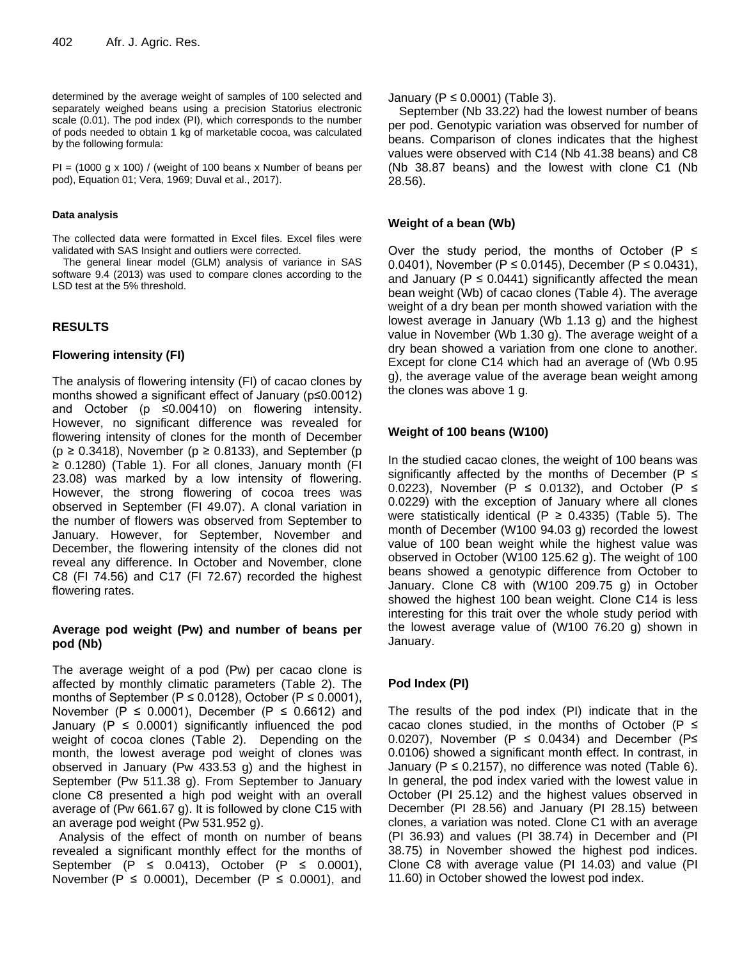determined by the average weight of samples of 100 selected and separately weighed beans using a precision Statorius electronic scale (0.01). The pod index (PI), which corresponds to the number of pods needed to obtain 1 kg of marketable cocoa, was calculated by the following formula:

 $PI = (1000 \text{ g x } 100)$  / (weight of 100 beans x Number of beans per pod), Equation 01; Vera, 1969; Duval et al., 2017).

#### **Data analysis**

The collected data were formatted in Excel files. Excel files were validated with SAS Insight and outliers were corrected.

The general linear model (GLM) analysis of variance in SAS software 9.4 (2013) was used to compare clones according to the LSD test at the 5% threshold.

## **RESULTS**

## **Flowering intensity (FI)**

The analysis of flowering intensity (FI) of cacao clones by months showed a significant effect of January (p≤0.0012) and October (p ≤0.00410) on flowering intensity. However, no significant difference was revealed for flowering intensity of clones for the month of December ( $p \ge 0.3418$ ), November ( $p \ge 0.8133$ ), and September ( $p \ge 0.3418$ ) ≥ 0.1280) (Table 1). For all clones, January month (FI 23.08) was marked by a low intensity of flowering. However, the strong flowering of cocoa trees was observed in September (FI 49.07). A clonal variation in the number of flowers was observed from September to January. However, for September, November and December, the flowering intensity of the clones did not reveal any difference. In October and November, clone C8 (FI 74.56) and C17 (FI 72.67) recorded the highest flowering rates.

## **Average pod weight (Pw) and number of beans per pod (Nb)**

The average weight of a pod (Pw) per cacao clone is affected by monthly climatic parameters (Table 2). The months of September ( $P \le 0.0128$ ), October ( $P \le 0.0001$ ), November ( $P \le 0.0001$ ), December ( $P \le 0.6612$ ) and January ( $P \le 0.0001$ ) significantly influenced the pod weight of cocoa clones (Table 2). Depending on the month, the lowest average pod weight of clones was observed in January (Pw 433.53 g) and the highest in September (Pw 511.38 g). From September to January clone C8 presented a high pod weight with an overall average of (Pw 661.67 g). It is followed by clone C15 with an average pod weight (Pw 531.952 g).

 Analysis of the effect of month on number of beans revealed a significant monthly effect for the months of September  $(P \le 0.0413)$ , October  $(P \le 0.0001)$ , November (P  $\leq$  0.0001), December (P  $\leq$  0.0001), and January ( $P \leq 0.0001$ ) (Table 3).

September (Nb 33.22) had the lowest number of beans per pod. Genotypic variation was observed for number of beans. Comparison of clones indicates that the highest values were observed with C14 (Nb 41.38 beans) and C8 (Nb 38.87 beans) and the lowest with clone C1 (Nb 28.56).

## **Weight of a bean (Wb)**

Over the study period, the months of October ( $P \leq$ 0.0401), November (P ≤ 0.0145), December (P ≤ 0.0431), and January ( $P \le 0.0441$ ) significantly affected the mean bean weight (Wb) of cacao clones (Table 4). The average weight of a dry bean per month showed variation with the lowest average in January (Wb 1.13 g) and the highest value in November (Wb 1.30 g). The average weight of a dry bean showed a variation from one clone to another. Except for clone C14 which had an average of (Wb 0.95 g), the average value of the average bean weight among the clones was above 1 g.

## **Weight of 100 beans (W100)**

In the studied cacao clones, the weight of 100 beans was significantly affected by the months of December ( $P \leq$ 0.0223), November (P  $\leq$  0.0132), and October (P  $\leq$ 0.0229) with the exception of January where all clones were statistically identical (P  $\geq$  0.4335) (Table 5). The month of December (W100 94.03 g) recorded the lowest value of 100 bean weight while the highest value was observed in October (W100 125.62 g). The weight of 100 beans showed a genotypic difference from October to January. Clone C8 with (W100 209.75 g) in October showed the highest 100 bean weight. Clone C14 is less interesting for this trait over the whole study period with the lowest average value of (W100 76.20 g) shown in January.

# **Pod Index (PI)**

The results of the pod index (PI) indicate that in the cacao clones studied, in the months of October (P  $\leq$ 0.0207), November (P  $\leq$  0.0434) and December (P $\leq$ 0.0106) showed a significant month effect. In contrast, in January ( $P \le 0.2157$ ), no difference was noted (Table 6). In general, the pod index varied with the lowest value in October (PI 25.12) and the highest values observed in December (PI 28.56) and January (PI 28.15) between clones, a variation was noted. Clone C1 with an average (PI 36.93) and values (PI 38.74) in December and (PI 38.75) in November showed the highest pod indices. Clone C8 with average value (PI 14.03) and value (PI 11.60) in October showed the lowest pod index.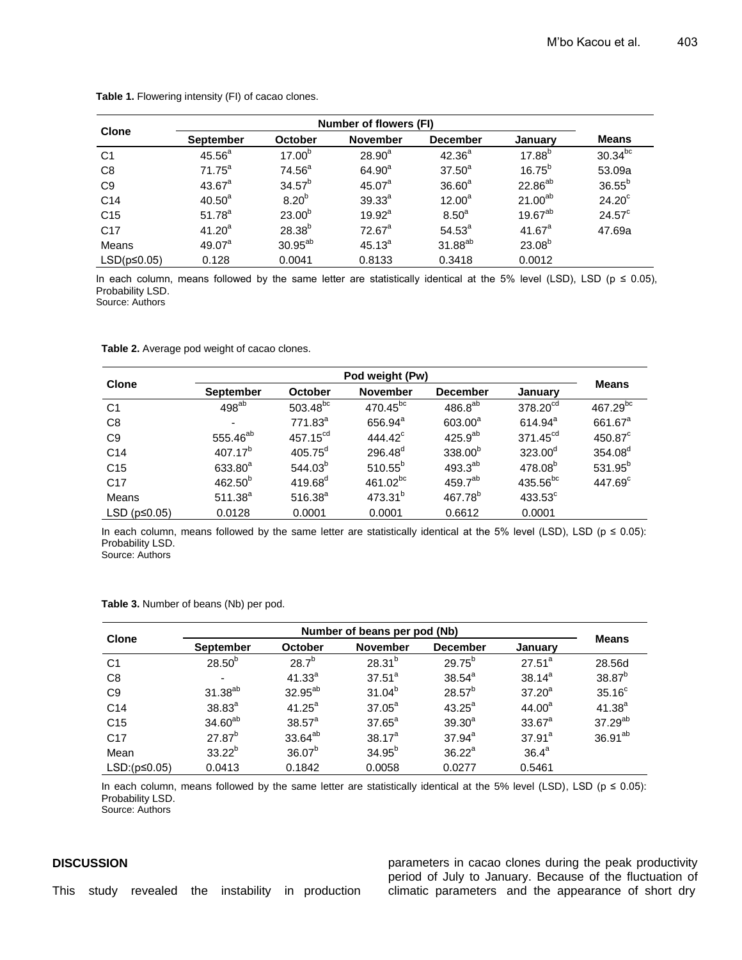| <b>Clone</b>      |                    |                    |                    |                     |                   |                 |
|-------------------|--------------------|--------------------|--------------------|---------------------|-------------------|-----------------|
|                   | <b>September</b>   | October            | <b>November</b>    | <b>December</b>     | January           | <b>Means</b>    |
| C <sub>1</sub>    | $45.56^{a}$        | 17.00 <sup>b</sup> | $28.90^{a}$        | $42.36^{a}$         | $17.88^{b}$       | $30.34^{bc}$    |
| C <sub>8</sub>    | $71.75^a$          | $74.56^a$          | $64.90^{a}$        | $37.50^a$           | $16.75^{b}$       | 53.09a          |
| C <sub>9</sub>    | $43.67^{\circ}$    | $34.57^{b}$        | 45.07 <sup>a</sup> | 36.60 <sup>a</sup>  | $22.86^{ab}$      | $36.55^{b}$     |
| C <sub>14</sub>   | 40.50 <sup>a</sup> | 8.20 <sup>b</sup>  | $39.33^{a}$        | $12.00^a$           | $21.00^{ab}$      | $24.20^\circ$   |
| C <sub>15</sub>   | $51.78^{a}$        | $23.00^{b}$        | $19.92^a$          | 8.50 <sup>a</sup>   | 19.67 $\rm ^{ab}$ | $24.57^{\circ}$ |
| C <sub>17</sub>   | 41.20 <sup>a</sup> | $28.38^{b}$        | $72.67^a$          | $54.53^{a}$         | $41.67^a$         | 47.69a          |
| Means             | 49.07 <sup>a</sup> | $30.95^{ab}$       | $45.13^{a}$        | 31.88 <sup>ab</sup> | $23.08^{b}$       |                 |
| $LSD(p \le 0.05)$ | 0.128              | 0.0041             | 0.8133             | 0.3418              | 0.0012            |                 |

**Table 1.** Flowering intensity (FI) of cacao clones.

In each column, means followed by the same letter are statistically identical at the 5% level (LSD), LSD ( $p \le 0.05$ ), Probability LSD.

Source: Authors

**Table 2.** Average pod weight of cacao clones.

| <b>Clone</b>         | Pod weight (Pw)      |                                   |                      |                     |                      |                     |
|----------------------|----------------------|-----------------------------------|----------------------|---------------------|----------------------|---------------------|
|                      | <b>September</b>     | <b>November</b><br><b>October</b> |                      | <b>December</b>     | January              | <b>Means</b>        |
| C <sub>1</sub>       | $498^{ab}$           | 503.48 <sup>bc</sup>              | 470.45 <sup>bc</sup> | $486.8^{ab}$        | 378.20 <sup>cd</sup> | $467.29^{bc}$       |
| C <sub>8</sub>       |                      | 771.83 <sup>a</sup>               | 656.94 <sup>a</sup>  | 603.00 <sup>a</sup> | $614.94^a$           | 661.67 <sup>a</sup> |
| C <sub>9</sub>       | 555.46 <sup>ab</sup> | 457.15 <sup>cd</sup>              | $444.42^{\circ}$     | 425.9 <sup>ab</sup> | $371.45^{\text{cd}}$ | $450.87^{\circ}$    |
| C <sub>14</sub>      | $407.17^{b}$         | $405.75^d$                        | $296.48^{d}$         | $338.00^{b}$        | $323.00^d$           | 354.08 <sup>d</sup> |
| C <sub>15</sub>      | 633.80 <sup>a</sup>  | 544.03 <sup>b</sup>               | $510.55^{b}$         | $493.3^{ab}$        | 478.08 <sup>b</sup>  | 531.95 <sup>b</sup> |
| C <sub>17</sub>      | $462.50^{b}$         | $419.68^{d}$                      | 461.02 <sup>bc</sup> | 459.7 <sup>ab</sup> | $435.56^{bc}$        | $447.69^{\circ}$    |
| Means                | $511.38^{a}$         | $516.38^{a}$                      | $473.31^{b}$         | $467.78^{b}$        | $433.53^\circ$       |                     |
| LSD ( $p \le 0.05$ ) | 0.0128               | 0.0001                            | 0.0001               | 0.6612              | 0.0001               |                     |

In each column, means followed by the same letter are statistically identical at the 5% level (LSD), LSD ( $p \le 0.05$ ): Probability LSD.

Source: Authors

**Table 3.** Number of beans (Nb) per pod.

| <b>Clone</b>        | Number of beans per pod (Nb) |                     |                 |                 |                    |                     |
|---------------------|------------------------------|---------------------|-----------------|-----------------|--------------------|---------------------|
|                     | <b>September</b>             | <b>October</b>      | <b>November</b> | <b>December</b> | January            | <b>Means</b>        |
| C <sub>1</sub>      | $28.50^{b}$                  | $28.7^{b}$          | $28.31^{b}$     | $29.75^{b}$     | $27.51^a$          | 28.56d              |
| C <sub>8</sub>      | $\overline{\phantom{a}}$     | $41.33^{a}$         | $37.51^a$       | $38.54^{\circ}$ | $38.14^{a}$        | 38.87 <sup>b</sup>  |
| C <sub>9</sub>      | 31.38 <sup>ab</sup>          | 32.95 <sup>ab</sup> | $31.04^{b}$     | $28.57^{b}$     | $37.20^a$          | 35.16 <sup>c</sup>  |
| C <sub>14</sub>     | $38.83^{a}$                  | $41.25^a$           | $37.05^a$       | $43.25^a$       | 44.00 <sup>a</sup> | $41.38^{a}$         |
| C <sub>15</sub>     | 34.60 <sup>ab</sup>          | $38.57^{\circ}$     | $37.65^a$       | $39.30^{a}$     | $33.67^a$          | $37.29^{ab}$        |
| C <sub>17</sub>     | $27.87^{b}$                  | 33.64 <sup>ab</sup> | $38.17^{a}$     | $37.94^a$       | $37.91^a$          | 36.91 <sup>ab</sup> |
| Mean                | $33.22^{b}$                  | $36.07^{b}$         | $34.95^{b}$     | $36.22^a$       | 36.4 <sup>a</sup>  |                     |
| $LSD:(p \leq 0.05)$ | 0.0413                       | 0.1842              | 0.0058          | 0.0277          | 0.5461             |                     |

In each column, means followed by the same letter are statistically identical at the 5% level (LSD), LSD ( $p \le 0.05$ ): Probability LSD.

Source: Authors

## **DISCUSSION**

parameters in cacao clones during the peak productivity period of July to January. Because of the fluctuation of climatic parameters and the appearance of short dry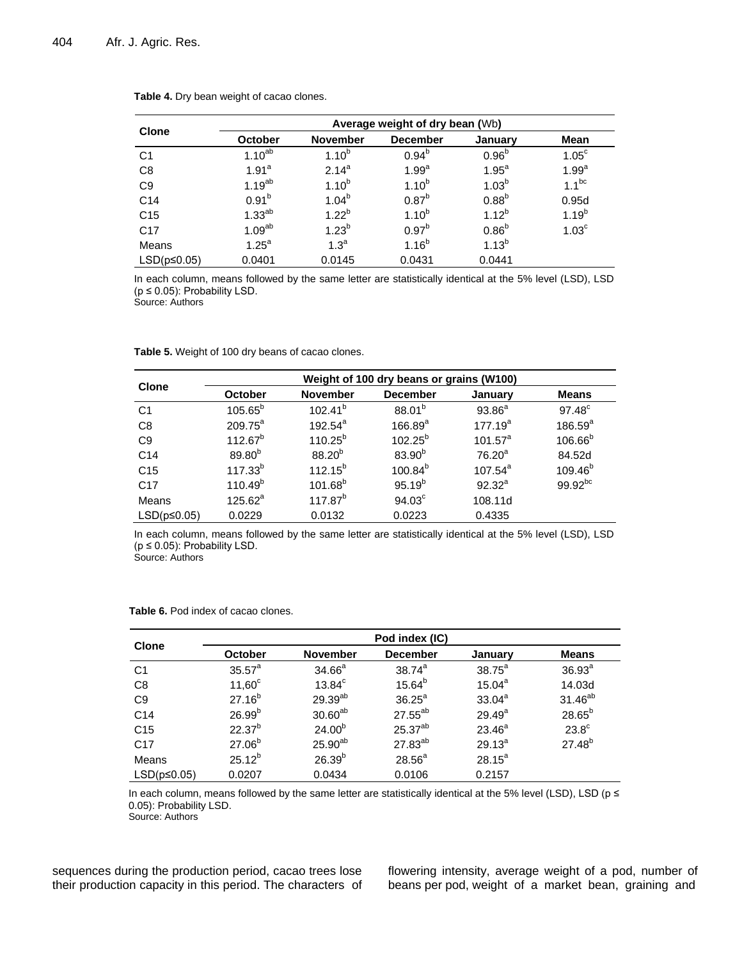|                   | Average weight of dry bean (Wb) |                  |                   |                   |                   |  |  |
|-------------------|---------------------------------|------------------|-------------------|-------------------|-------------------|--|--|
| <b>Clone</b>      | <b>October</b>                  | <b>November</b>  | <b>December</b>   | January           | Mean              |  |  |
| C <sub>1</sub>    | $1.10^{ab}$                     | $1.10^{b}$       | $0.94^{b}$        | $0.96^{b}$        | $1.05^{\circ}$    |  |  |
| C <sub>8</sub>    | 1.91 <sup>a</sup>               | $2.14^{a}$       | 1.99 <sup>a</sup> | 1.95 <sup>a</sup> | 1.99 <sup>a</sup> |  |  |
| C <sub>9</sub>    | $1.19^{ab}$                     | $1.10^{b}$       | $1.10^{b}$        | $1.03^{b}$        | $1.1^{bc}$        |  |  |
| C <sub>14</sub>   | $0.91^{b}$                      | $1.04^{b}$       | $0.87^{b}$        | $0.88^{b}$        | 0.95d             |  |  |
| C <sub>15</sub>   | $1.33^{ab}$                     | $1.22^{b}$       | $1.10^{b}$        | $1.12^{b}$        | $1.19^{b}$        |  |  |
| C <sub>17</sub>   | 1.09 <sup>ab</sup>              | $1.23^{b}$       | 0.97 <sup>b</sup> | $0.86^{b}$        | 1.03 <sup>c</sup> |  |  |
| Means             | 1.25 <sup>a</sup>               | 1.3 <sup>a</sup> | $1.16^{b}$        | $1.13^{b}$        |                   |  |  |
| $LSD(p \le 0.05)$ | 0.0401                          | 0.0145           | 0.0431            | 0.0441            |                   |  |  |

**Table 4.** Dry bean weight of cacao clones.

In each column, means followed by the same letter are statistically identical at the 5% level (LSD), LSD ( $p \leq 0.05$ ): Probability LSD.

Source: Authors

|                   | Weight of 100 dry beans or grains (W100) |                 |                    |                    |                     |  |  |
|-------------------|------------------------------------------|-----------------|--------------------|--------------------|---------------------|--|--|
| <b>Clone</b>      | <b>October</b>                           | <b>November</b> | <b>December</b>    | January            | <b>Means</b>        |  |  |
| C <sub>1</sub>    | $105.65^b$                               | $102.41^{b}$    | $88.01^{b}$        | $93.86^{a}$        | $97.48^\circ$       |  |  |
| C8                | $209.75^a$                               | $192.54^{a}$    | $166.89^{a}$       | $177.19^{a}$       | $186.59^{a}$        |  |  |
| C <sub>9</sub>    | $112.67^{b}$                             | $110.25^{b}$    | $102.25^{b}$       | $101.57^a$         | $106.66^{b}$        |  |  |
| C <sub>14</sub>   | 89.80 <sup>b</sup>                       | $88.20^{b}$     | $83.90^{b}$        | 76.20 <sup>a</sup> | 84.52d              |  |  |
| C <sub>15</sub>   | $117.33^{b}$                             | $112.15^{b}$    | $100.84^{b}$       | $107.54^{a}$       | 109.46 <sup>b</sup> |  |  |
| C <sub>17</sub>   | $110.49^{b}$                             | $101.68^{b}$    | $95.19^{b}$        | $92.32^a$          | 99.92bc             |  |  |
| Means             | $125.62^a$                               | $117.87^{b}$    | 94.03 <sup>c</sup> | 108.11d            |                     |  |  |
| $LSD(p \le 0.05)$ | 0.0229                                   | 0.0132          | 0.0223             | 0.4335             |                     |  |  |

**Table 5.** Weight of 100 dry beans of cacao clones.

In each column, means followed by the same letter are statistically identical at the 5% level (LSD), LSD ( $p \leq 0.05$ ): Probability LSD.

Source: Authors

|                   | Pod index (IC)  |                     |                     |                 |                     |  |  |
|-------------------|-----------------|---------------------|---------------------|-----------------|---------------------|--|--|
| <b>Clone</b>      | October         | <b>November</b>     | <b>December</b>     | January         | <b>Means</b>        |  |  |
| C <sub>1</sub>    | $35.57^{\circ}$ | $34.66^a$           | $38.74^{a}$         | $38.75^{\circ}$ | 36.93 <sup>a</sup>  |  |  |
| C <sub>8</sub>    | $11,60^\circ$   | $13.84^c$           | $15.64^{b}$         | $15.04^a$       | 14.03d              |  |  |
| C <sub>9</sub>    | $27.16^{b}$     | 29.39ab             | $36.25^{\circ}$     | $33.04^a$       | 31.46 <sup>ab</sup> |  |  |
| C <sub>14</sub>   | $26.99^{b}$     | 30.60 <sup>ab</sup> | 27.55 <sup>ab</sup> | $29.49^{\circ}$ | $28.65^{b}$         |  |  |
| C <sub>15</sub>   | $22.37^{b}$     | $24.00^{b}$         | 25.37 <sup>ab</sup> | $23.46^{\circ}$ | $23.8^\circ$        |  |  |
| C <sub>17</sub>   | $27.06^{b}$     | $25.90^{ab}$        | $27.83^{ab}$        | $29.13^{a}$     | $27.48^{b}$         |  |  |
| Means             | $25.12^{b}$     | $26.39^{b}$         | 28.56 <sup>a</sup>  | $28.15^a$       |                     |  |  |
| $LSD(p \le 0.05)$ | 0.0207          | 0.0434              | 0.0106              | 0.2157          |                     |  |  |

**Table 6.** Pod index of cacao clones.

In each column, means followed by the same letter are statistically identical at the 5% level (LSD), LSD ( $p \le$ 0.05): Probability LSD.

Source: Authors

sequences during the production period, cacao trees lose their production capacity in this period. The characters of flowering intensity, average weight of a pod, number of beans per pod, weight of a market bean, graining and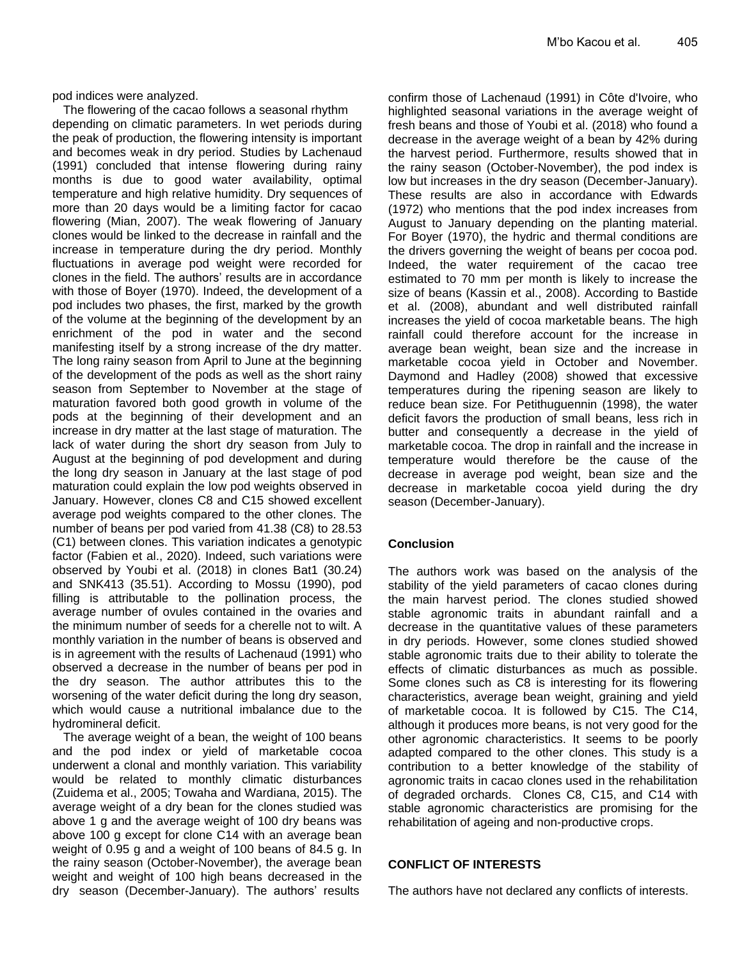pod indices were analyzed.

The flowering of the cacao follows a seasonal rhythm depending on climatic parameters. In wet periods during the peak of production, the flowering intensity is important and becomes weak in dry period. Studies by Lachenaud (1991) concluded that intense flowering during rainy months is due to good water availability, optimal temperature and high relative humidity. Dry sequences of more than 20 days would be a limiting factor for cacao flowering (Mian, 2007). The weak flowering of January clones would be linked to the decrease in rainfall and the increase in temperature during the dry period. Monthly fluctuations in average pod weight were recorded for clones in the field. The authors' results are in accordance with those of Boyer (1970). Indeed, the development of a pod includes two phases, the first, marked by the growth of the volume at the beginning of the development by an enrichment of the pod in water and the second manifesting itself by a strong increase of the dry matter. The long rainy season from April to June at the beginning of the development of the pods as well as the short rainy season from September to November at the stage of maturation favored both good growth in volume of the pods at the beginning of their development and an increase in dry matter at the last stage of maturation. The lack of water during the short dry season from July to August at the beginning of pod development and during the long dry season in January at the last stage of pod maturation could explain the low pod weights observed in January. However, clones C8 and C15 showed excellent average pod weights compared to the other clones. The number of beans per pod varied from 41.38 (C8) to 28.53 (C1) between clones. This variation indicates a genotypic factor (Fabien et al., 2020). Indeed, such variations were observed by Youbi et al. (2018) in clones Bat1 (30.24) and SNK413 (35.51). According to Mossu (1990), pod filling is attributable to the pollination process, the average number of ovules contained in the ovaries and the minimum number of seeds for a cherelle not to wilt. A monthly variation in the number of beans is observed and is in agreement with the results of Lachenaud (1991) who observed a decrease in the number of beans per pod in the dry season. The author attributes this to the worsening of the water deficit during the long dry season, which would cause a nutritional imbalance due to the hydromineral deficit.

The average weight of a bean, the weight of 100 beans and the pod index or yield of marketable cocoa underwent a clonal and monthly variation. This variability would be related to monthly climatic disturbances (Zuidema et al., 2005; Towaha and Wardiana, 2015). The average weight of a dry bean for the clones studied was above 1 g and the average weight of 100 dry beans was above 100 g except for clone C14 with an average bean weight of 0.95 g and a weight of 100 beans of 84.5 g. In the rainy season (October-November), the average bean weight and weight of 100 high beans decreased in the dry season (December-January). The authors' results

confirm those of Lachenaud (1991) in Côte d'Ivoire, who highlighted seasonal variations in the average weight of fresh beans and those of Youbi et al. (2018) who found a decrease in the average weight of a bean by 42% during the harvest period. Furthermore, results showed that in the rainy season (October-November), the pod index is low but increases in the dry season (December-January). These results are also in accordance with Edwards (1972) who mentions that the pod index increases from August to January depending on the planting material. For Boyer (1970), the hydric and thermal conditions are the drivers governing the weight of beans per cocoa pod. Indeed, the water requirement of the cacao tree estimated to 70 mm per month is likely to increase the size of beans (Kassin et al., 2008). According to Bastide et al. (2008), abundant and well distributed rainfall increases the yield of cocoa marketable beans. The high rainfall could therefore account for the increase in average bean weight, bean size and the increase in marketable cocoa yield in October and November. Daymond and Hadley (2008) showed that excessive temperatures during the ripening season are likely to reduce bean size. For Petithuguennin (1998), the water deficit favors the production of small beans, less rich in butter and consequently a decrease in the yield of marketable cocoa. The drop in rainfall and the increase in temperature would therefore be the cause of the decrease in average pod weight, bean size and the decrease in marketable cocoa yield during the dry season (December-January).

# **Conclusion**

The authors work was based on the analysis of the stability of the yield parameters of cacao clones during the main harvest period. The clones studied showed stable agronomic traits in abundant rainfall and a decrease in the quantitative values of these parameters in dry periods. However, some clones studied showed stable agronomic traits due to their ability to tolerate the effects of climatic disturbances as much as possible. Some clones such as C8 is interesting for its flowering characteristics, average bean weight, graining and yield of marketable cocoa. It is followed by C15. The C14, although it produces more beans, is not very good for the other agronomic characteristics. It seems to be poorly adapted compared to the other clones. This study is a contribution to a better knowledge of the stability of agronomic traits in cacao clones used in the rehabilitation of degraded orchards. Clones C8, C15, and C14 with stable agronomic characteristics are promising for the rehabilitation of ageing and non-productive crops.

## **CONFLICT OF INTERESTS**

The authors have not declared any conflicts of interests.